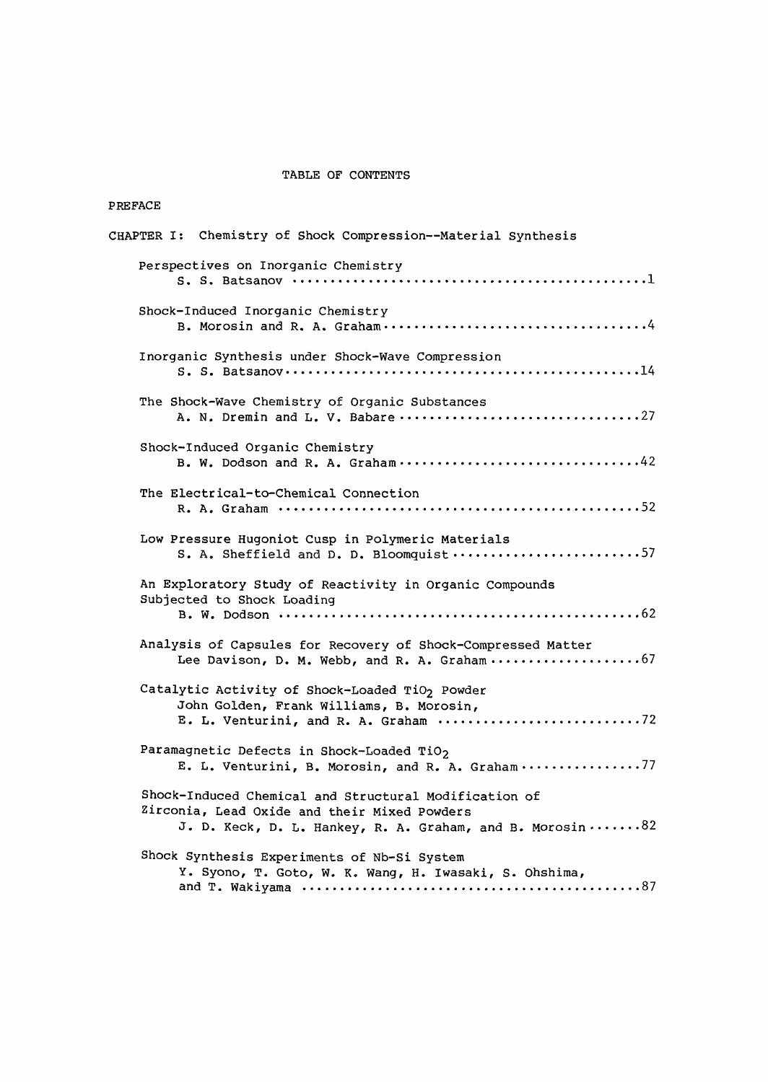## TABLE OF CONTENTS

| PREFACE                                                                                                                                                             |
|---------------------------------------------------------------------------------------------------------------------------------------------------------------------|
| CHAPTER I: Chemistry of Shock Compression--Material Synthesis                                                                                                       |
| Perspectives on Inorganic Chemistry                                                                                                                                 |
| Shock-Induced Inorganic Chemistry                                                                                                                                   |
| Inorganic Synthesis under Shock-Wave Compression                                                                                                                    |
| The Shock-Wave Chemistry of Organic Substances                                                                                                                      |
| Shock-Induced Organic Chemistry                                                                                                                                     |
| The Electrical-to-Chemical Connection                                                                                                                               |
| Low Pressure Hugoniot Cusp in Polymeric Materials<br>S. A. Sheffield and D. D. Bloomquist 57                                                                        |
| An Exploratory Study of Reactivity in Organic Compounds<br>Subjected to Shock Loading                                                                               |
| Analysis of Capsules for Recovery of Shock-Compressed Matter                                                                                                        |
| Catalytic Activity of Shock-Loaded TiO2 Powder<br>John Golden, Frank Williams, B. Morosin,<br>E. L. Venturini, and R. A. Graham 72                                  |
| Paramagnetic Defects in Shock-Loaded TiO2<br>E. L. Venturini, B. Morosin, and R. A. Graham 77                                                                       |
| Shock-Induced Chemical and Structural Modification of<br>Zirconia, Lead Oxide and their Mixed Powders<br>J. D. Keck, D. L. Hankey, R. A. Graham, and B. Morosin  82 |
| Shock Synthesis Experiments of Nb-Si System<br>Y. Syono, T. Goto, W. K. Wang, H. Iwasaki, S. Ohshima,                                                               |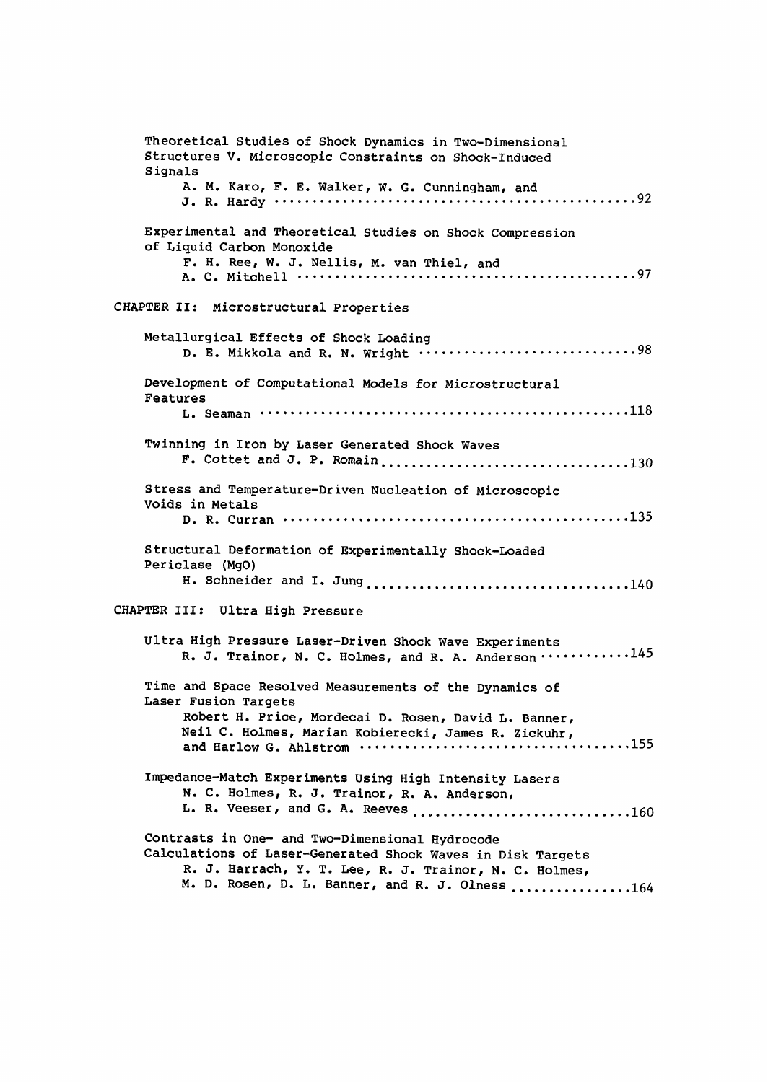Theoretical Studies of Shock Dynamics in Two-Dimensional Structures V. Microscopic Constraints on Shock-Induced **Signals** A. M. Karo, F. E. Walker, W. G. Cunningham, and J. R. Hardy 92 Experimental and Theoretical Studies on Shock Compression of Liquid Carbon Monoxide F. H. Ree, W. J. Nellis, M. van Thiel, and A. C. Mitchell 97 CHAPTER II: Microstructural Properties Metallurgical Effects of Shock Loading D. E. Mikkola and R. N. Wright  $\cdots$  .................................98 Development of Computational Models for Microstructural Features L. Seaman 118 Twinning in Iron by Laser Generated Shock Waves F. Cottet and J. P. Romain 130 Stress and Temperature-Driven Nucleation of Microscopic Voids in Metals D. R. Curran 135 Structural Deformation of Experimentally Shock-Loaded Periclase (MgO) H. Schneider and I. Jung 140 CHAPTER III: Ultra High Pressure Ultra High Pressure Laser-Driven Shock Wave Experiments R. J. Trainor, N. C. Holmes, and R. A. Anderson 145 Time and Space Resolved Measurements of the Dynamics of Laser Fusion Targets Robert H. Price, Mordecai D. Rosen, David L. Banner, Neil C. Holmes, Marian Kobierecki, James R. Zickuhr, and Harlow G. Ahlstrom 155 Impedance-Match Experiments Using High Intensity Lasers N. C. Holmes, R. J. Trainor, R. A. Anderson, L. R. Veeser, and G. A. Reeves 160 Contrasts in One- and Two-Dimensional Hydrocode Calculations of Laser-Generated Shock Waves in Disk Targets R. J. Harrach, Y. T. Lee, R. J. Trainor, N. C. Holmes, M. D. Rosen, D. L. Banner, and R. J. Olness ...............164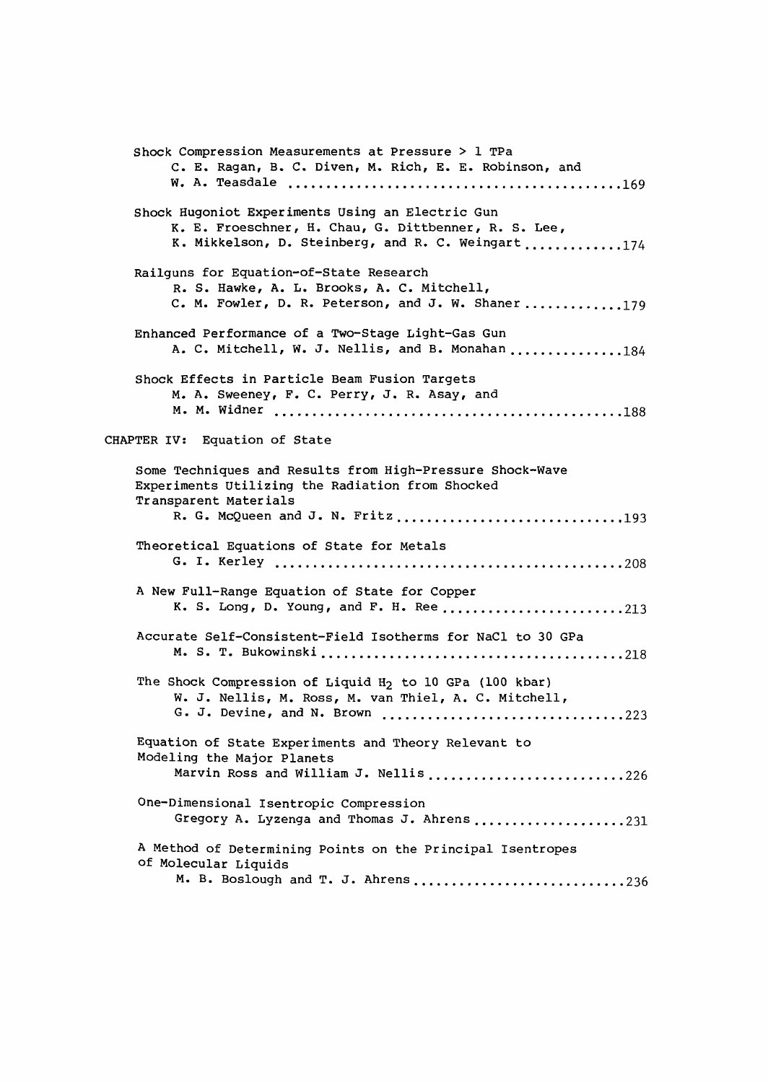Shock Compression Measurements at Pressure > 1 TPa C. E. Ragan, B. C. Diven, M. Rich, E. E. Robinson, and W. A. Teasdale 169 Shock Hugoniot Experiments Using an Electric Gun K. E. Froeschner, H. Chau, G. Dittbenner, R. S. Lee, K. Mikkelson, D. Steinberg, and R. C. Weingart ............174 Railguns for Equation-of-State Research R. S. Hawke, A. L. Brooks, A. C. Mitchell, C. M. Fowler, D. R. Peterson, and J. W. Shaner .............179 Enhanced Performance of a Two-Stage Light-Gas Gun A. C. Mitchell, W. J. Nellis, and B. Monahan ..............184 Shock Effects in Particle Beam Fusion Targets M. A. Sweeney, F. C. Perry, J. R. Asay, and M. M. Widner 188 CHAPTER IV: Equation of State Some Techniques and Results from High-Pressure Shock-Wave Experiments Utilizing the Radiation from Shocked Transparent Materials R. G. McQueen and J. N. Fritz ................................193 Theoretical Equations of State for Metals G. I. Kerley 208 A New Full-Range Equation of State for Copper K. S. Long, D. Young, and F. H. Ree ..........................213 Accurate Self-Consistent-Field Isotherms for NaCl to 30 GPa M. S. T. Bukowinski 218 The Shock Compression of Liquid H<sub>2</sub> to 10 GPa (100 kbar) W. J. Nellis, M. Ross, M. van Thiel, A. C. Mitchell, G. J. Devine, and N. Brown ..................................223 Equation of State Experiments and Theory Relevant to Modeling the Major Planets Marvin Ross and William J. Nellis ...........................226 One-Dimensional Isentropic Compression Gregory A. Lyzenga and Thomas J. Ahrens ...................231 A Method of Determining Points on the Principal Isentropes of Molecular Liquids M. B. Boslough and T. J. Ahrens ..............................236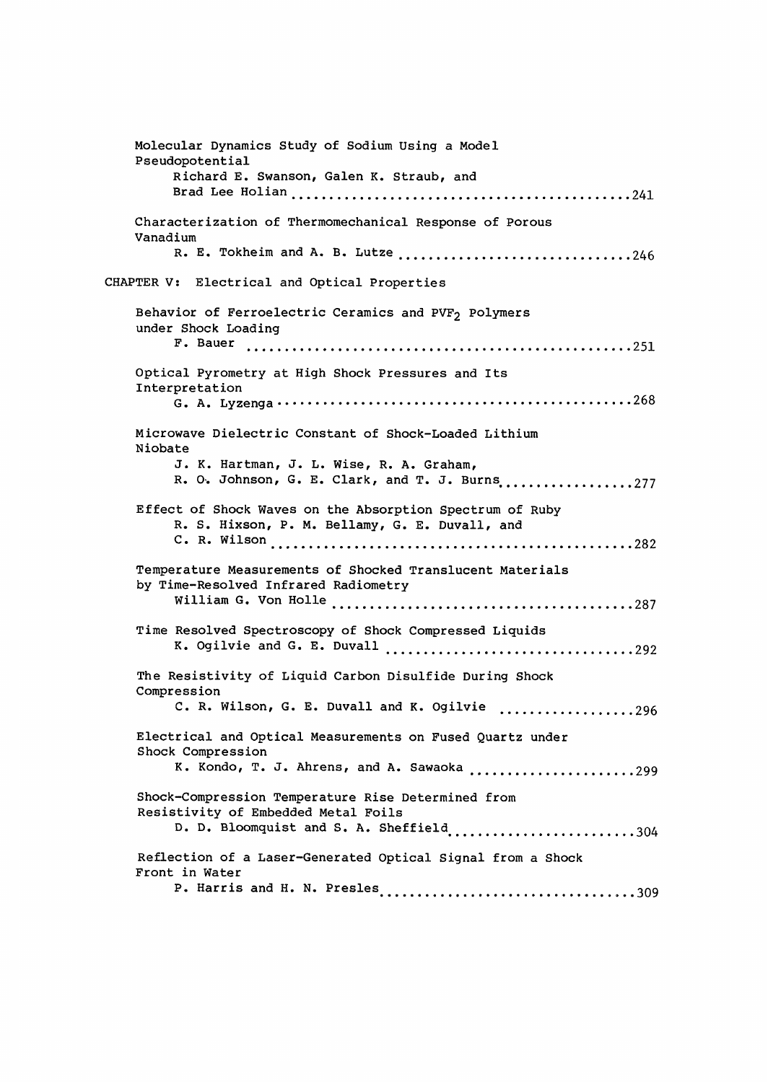Molecular Dynamics Study of Sodium Using a Model Pseudopotential Richard E. Swanson, Galen K. Straub, and Brad Lee Holian 241 Characterization of Thermomechanical Response of Porous Vanadium R. E. Tokheim and A. B. Lutze .................................246 CHAPTER V: Electrical and Optical Properties Behavior of Ferroelectric Ceramics and PVF<sub>2</sub> Polymers under Shock Loading F. Bauer 251 Optical Pyrometry at High Shock Pressures and Its Interpretation G. A. Lyzenga 268 Microwave Dielectric Constant of Shock-Loaded Lithium Niobate J. K. Hartman, J. L. Wise, R. A. Graham, R. O. Johnson, G. E. Clark, and T. J. Burns ..................277 Effect of Shock Waves on the Absorption Spectrum of Ruby R. S. Hixson, P. M. Bellamy, G. E. Duvall, and C. R. Wilson 282 Temperature Measurements of Shocked Translucent Materials by Time-Resolved Infrared Radiometry William G. Von Holle 287 Time Resolved Spectroscopy of Shock Compressed Liquids K. Ogilvie and G. E. Duvall 292 The Resistivity of Liquid Carbon Disulfide During Shock Compression C. R. Wilson, G. E. Duvall and K. Ogilvie ..................296 Electrical and Optical Measurements on Fused Quartz under Shock Compression K. Kondo, T. J. Ahrens, and A. Sawaoka .......................299 Shock-Compression Temperature Rise Determined from Resistivity of Embedded Metal Foils  $D.$   $D.$  Bloomquist and S. A. Sheffield  $\ldots$   $\ldots$   $\ldots$   $\ldots$   $\ldots$   $\ldots$   $\ldots$  304 Reflection of a Laser-Generated Optical Signal from a Shock Front in Water P. Harris and H. N. Presles 300 and 100 and 100 and 100 and 100 and 100 and 100 and 100 and 100 and 100 and 100 and 100 and 100 and 100 and 100 and 100 and 100 and 100 and 100 and 100 and 100 and 100 and 100 and 100 and 10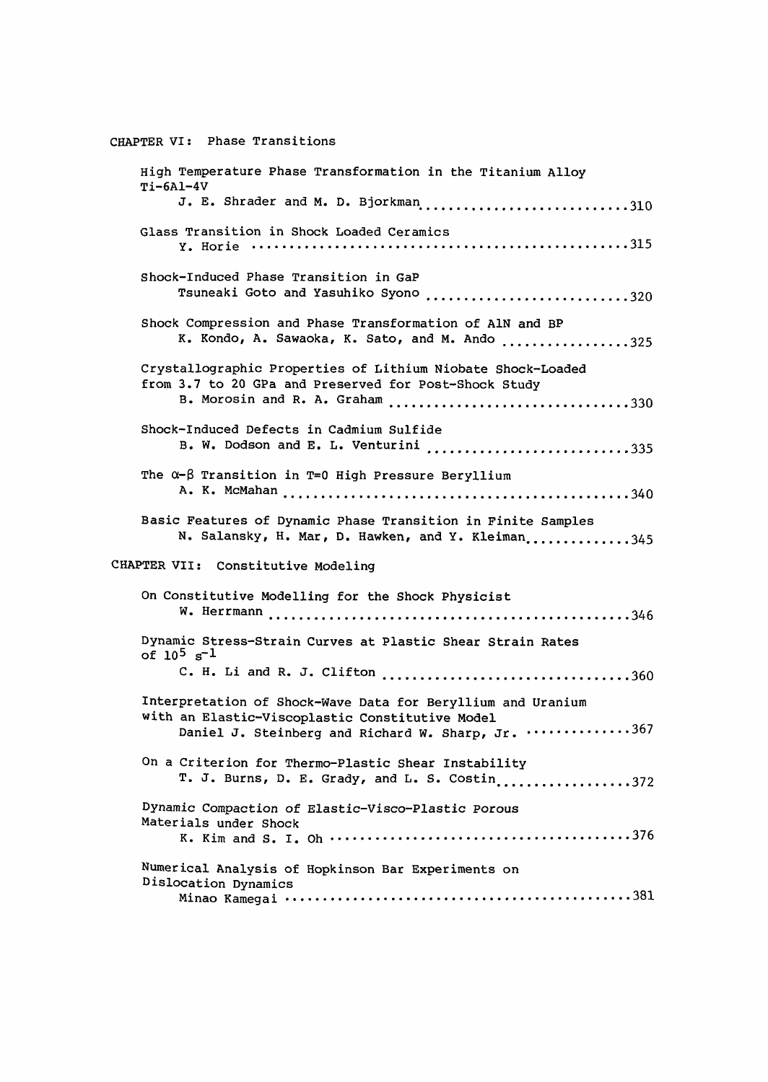CHAPTER VI: Phase Transitions High Temperature Phase Transformation in the Titanium Alloy  $Ti-6A1-4V$ J. E. Shrader and M. D. Bjorkman .............................310 Glass Transition in Shock Loaded Ceramics Y. Horie 315 Shock-Induced Phase Transition in GaP Tsuneaki Goto and Yasuhiko Syono ............................320 Shock Compression and Phase Transformation of A1N and BP K. Kondo, A. Sawaoka, K. Sato, and M. Ando ................325 Crystallographic Properties of Lithium Niobate Shock-Loaded from 3.7 to 20 GPa and Preserved for Post-Shock Study B. Morosin and R. A. Graham ..................................330 Shock-Induced Defects in Cadmium Sulfide B. W. Dodson and E. L. Venturini ..........................335 The  $\alpha-\beta$  Transition in T=0 High Pressure Beryllium A. K. McMahan 340 Basic Features of Dynamic Phase Transition in Finite Samples N. Salansky, H. Mar, D. Hawken, and Y. Kleiman.............345 CHAPTER VII: Constitutive Modeling On Constitutive Modelling for the Shock Physicist W. Herrmann 346 Dynamic Stress-Strain Curves at Plastic Shear Strain Rates  $of 10^5 s^{-1}$ C. H. Li and R. J. Clifton 360 Interpretation of Shock-Wave Data for Beryllium and Uranium with an Elastic-Viscoplastic Constitutive Model Daniel J. Steinberg and Richard W. Sharp, Jr. ..............367 On a Criterion for Thermo-Plastic Shear Instability T. J. Burns, D. E. Grady, and L. S. Costin..................372 Dynamic Compaction of Elastic-Visco-Plastic Porous Materials under Shock K. Kim and S. I. Oh 376 Numerical Analysis of Hopkinson Bar Experiments on Dislocation Dynamics Minao Kamegai 381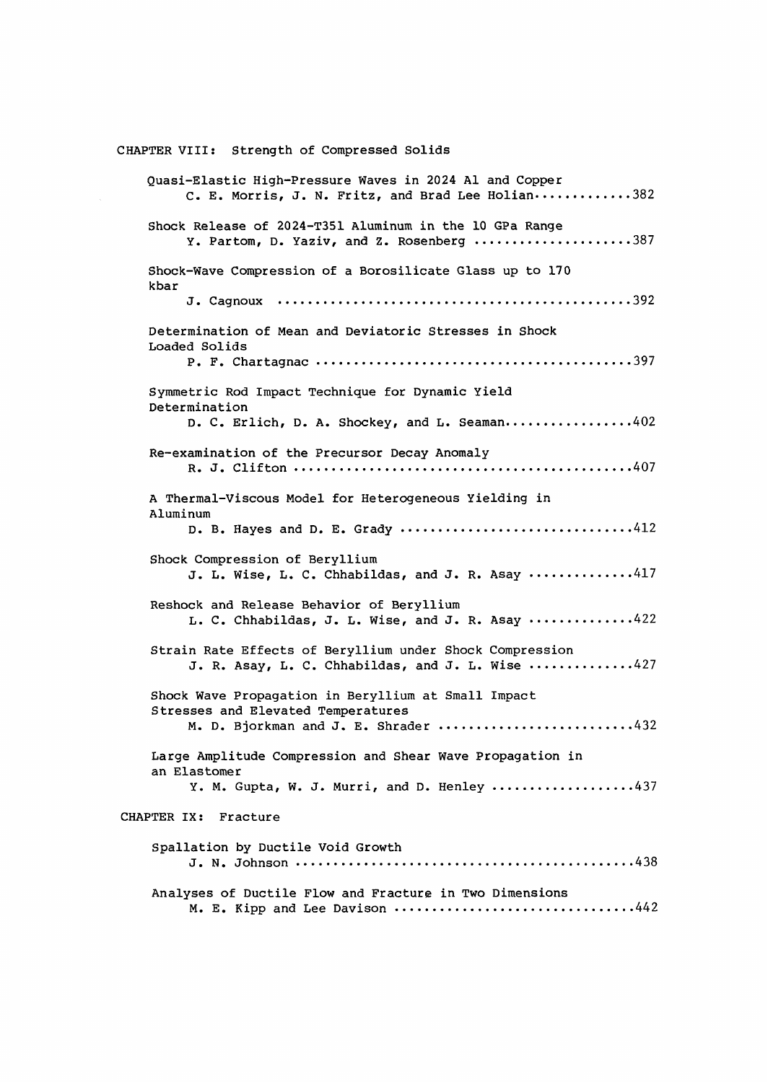CHAPTER VIII: Strength of Compressed Solids Quasi-Elastic High-Pressure Waves in 2024 Al and Copper  $C. E. Morris, J. N. Fritz, and Brad Lee Holian...$ .........382 Shock Release of 2024-T351 Aluminum in the 10 GPa Range Y. Partom, D. Yaziv, and Z. Rosenberg ....................387 Shock-Wave Compression of a Borosilicate Glass up to 170 kbar J. Cagnoux 392 Determination of Mean and Deviatoric Stresses in Shock Loaded Solids P. F. Chartagnac 397 Symmetric Rod Impact Technique for Dynamic Yield Determination D. C. Erlich, D. A. Shockey, and L. Seaman...............402 Re-examination of the Precursor Decay Anomaly R. J. Clifton 407 A Thermal-Viscous Model for Heterogeneous Yielding in Aluminum D. B. Hayes and D. E. Grady ..............................412 Shock Compression of Beryllium J. L. Wise, L. C. Chhabildas, and J. R. Asay  $\cdots$ ..........417 Reshock and Release Behavior of Beryllium  $L. C. Chhabildas, J. L. Wise, and J. R. Asay  $\cdots \cdots \cdots \cdots 422$$ Strain Rate Effects of Beryllium under Shock Compression J. R. Asay, L. C. Chhabildas, and J. L. Wise  $\cdots$ .........427 Shock Wave Propagation in Beryllium at Small Impact Stresses and Elevated Temperatures M. D. Bjorkman and J. E. Shrader .........................432 Large Amplitude Compression and Shear Wave Propagation in an Elastomer Y. M. Gupta, W. J. Murri, and D. Henley ..................437 CHAPTER IX: Fracture Spallation by Ductile Void Growth J. N. Johnson 438 Analyses of Ductile Flow and Fracture in Two Dimensions M. E. Kipp and Lee Davison .................................442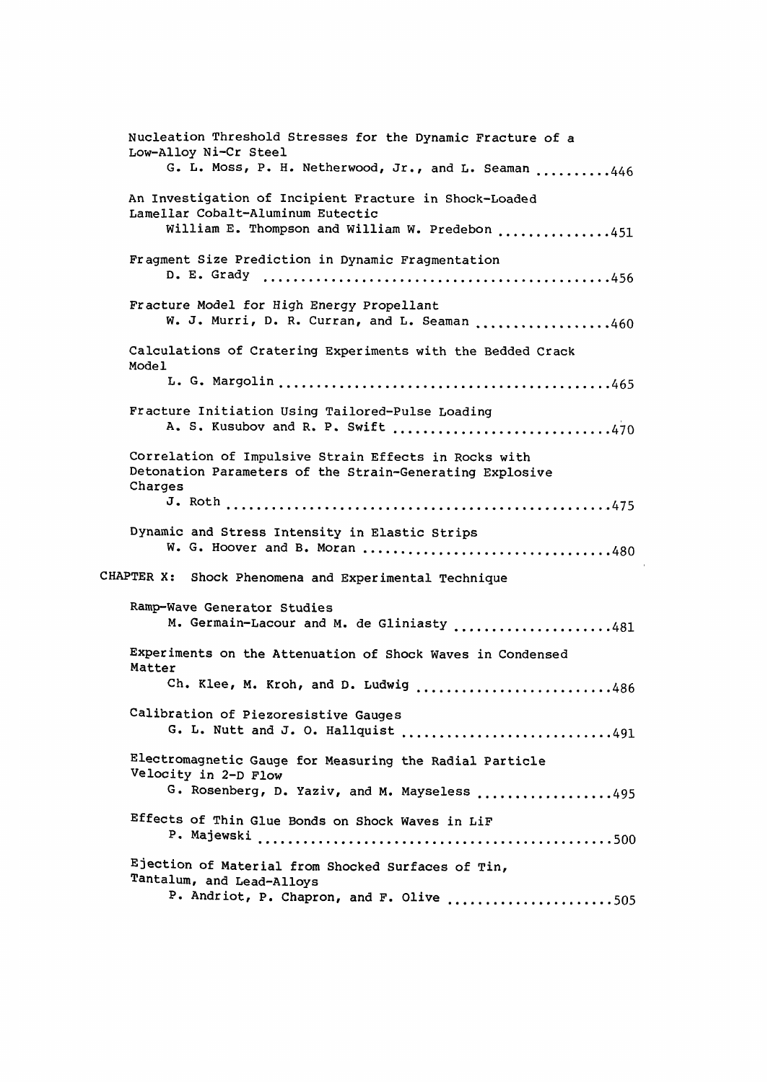| Nucleation Threshold Stresses for the Dynamic Fracture of a<br>Low-Alloy Ni-Cr Steel                                                           |
|------------------------------------------------------------------------------------------------------------------------------------------------|
| G. L. Moss, P. H. Netherwood, Jr., and L. Seaman 446                                                                                           |
| An Investigation of Incipient Fracture in Shock-Loaded<br>Lamellar Cobalt-Aluminum Eutectic<br>William E. Thompson and William W. Predebon 451 |
| Fragment Size Prediction in Dynamic Fragmentation                                                                                              |
| Fracture Model for High Energy Propellant<br>W. J. Murri, D. R. Curran, and L. Seaman 460                                                      |
| Calculations of Cratering Experiments with the Bedded Crack<br>Model                                                                           |
|                                                                                                                                                |
| Fracture Initiation Using Tailored-Pulse Loading<br>A. S. Kusubov and R. P. Swift 470                                                          |
| Correlation of Impulsive Strain Effects in Rocks with<br>Detonation Parameters of the Strain-Generating Explosive<br>Charges                   |
|                                                                                                                                                |
| Dynamic and Stress Intensity in Elastic Strips<br>W. G. Hoover and B. Moran 480                                                                |
| CHAPTER X: Shock Phenomena and Experimental Technique                                                                                          |
| Ramp-Wave Generator Studies<br>M. Germain-Lacour and M. de Gliniasty 481                                                                       |
| Experiments on the Attenuation of Shock Waves in Condensed<br>Matter                                                                           |
| Ch. Klee, M. Kroh, and D. Ludwig 486                                                                                                           |
| Calibration of Piezoresistive Gauges<br>G. L. Nutt and J. O. Hallquist 491                                                                     |
| Electromagnetic Gauge for Measuring the Radial Particle<br>Velocity in 2-D Flow                                                                |
| G. Rosenberg, D. Yaziv, and M. Mayseless 495                                                                                                   |
| Effects of Thin Glue Bonds on Shock Waves in LiF                                                                                               |
| Ejection of Material from Shocked Surfaces of Tin,<br>Tantalum, and Lead-Alloys                                                                |
| P. Andriot, P. Chapron, and F. Olive 505                                                                                                       |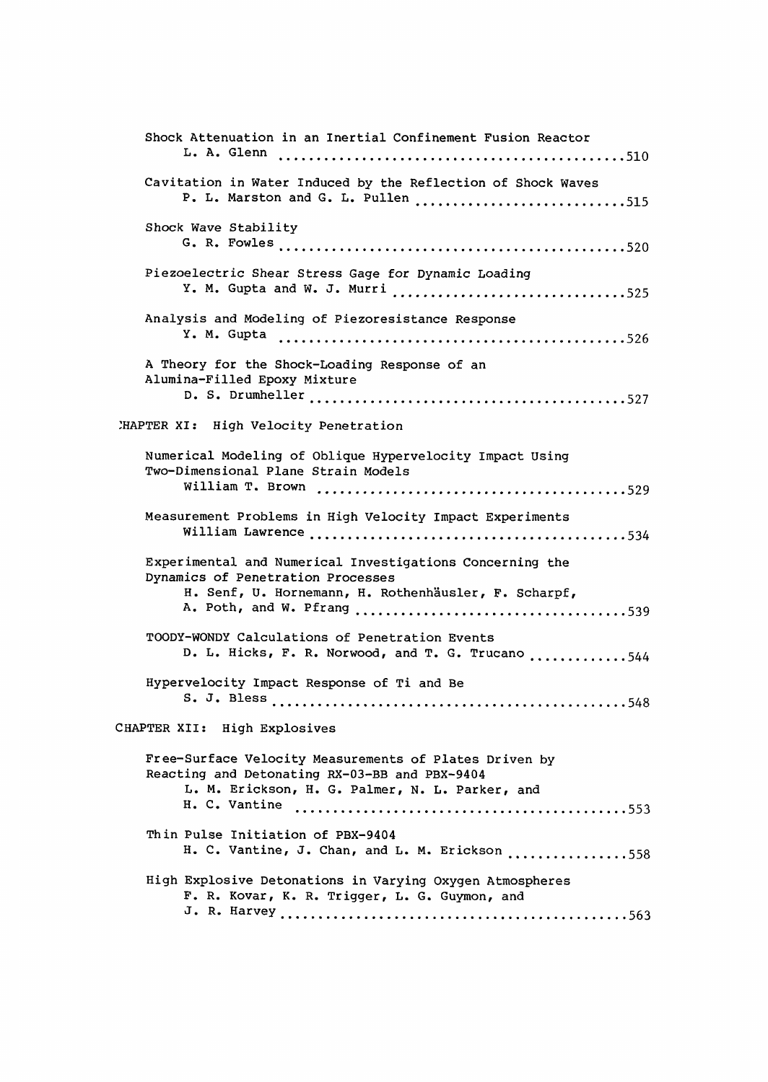| Shock Attenuation in an Inertial Confinement Fusion Reactor                                                                                                                 |
|-----------------------------------------------------------------------------------------------------------------------------------------------------------------------------|
| Cavitation in Water Induced by the Reflection of Shock Waves<br>P. L. Marston and G. L. Pullen 515                                                                          |
| Shock Wave Stability                                                                                                                                                        |
| Piezoelectric Shear Stress Gage for Dynamic Loading<br>Y. M. Gupta and W. J. Murri 525                                                                                      |
| Analysis and Modeling of Piezoresistance Response                                                                                                                           |
| A Theory for the Shock-Loading Response of an<br>Alumina-Filled Epoxy Mixture                                                                                               |
| MAPTER XI: High Velocity Penetration                                                                                                                                        |
| Numerical Modeling of Oblique Hypervelocity Impact Using<br>Two-Dimensional Plane Strain Models                                                                             |
| Measurement Problems in High Velocity Impact Experiments                                                                                                                    |
| Experimental and Numerical Investigations Concerning the<br>Dynamics of Penetration Processes<br>H. Senf, U. Hornemann, H. Rothenhäusler, F. Scharpf,                       |
| TOODY-WONDY Calculations of Penetration Events<br>D. L. Hicks, F. R. Norwood, and T. G. Trucano 544                                                                         |
| Hypervelocity Impact Response of Ti and Be                                                                                                                                  |
| CHAPTER XII: High Explosives                                                                                                                                                |
| Free-Surface Velocity Measurements of Plates Driven by<br>Reacting and Detonating RX-03-BB and PBX-9404<br>L. M. Erickson, H. G. Palmer, N. L. Parker, and<br>H. C. Vantine |
| Thin Pulse Initiation of PBX-9404<br>H. C. Vantine, J. Chan, and L. M. Erickson 558                                                                                         |
| High Explosive Detonations in Varying Oxygen Atmospheres<br>F. R. Kovar, K. R. Trigger, L. G. Guymon, and                                                                   |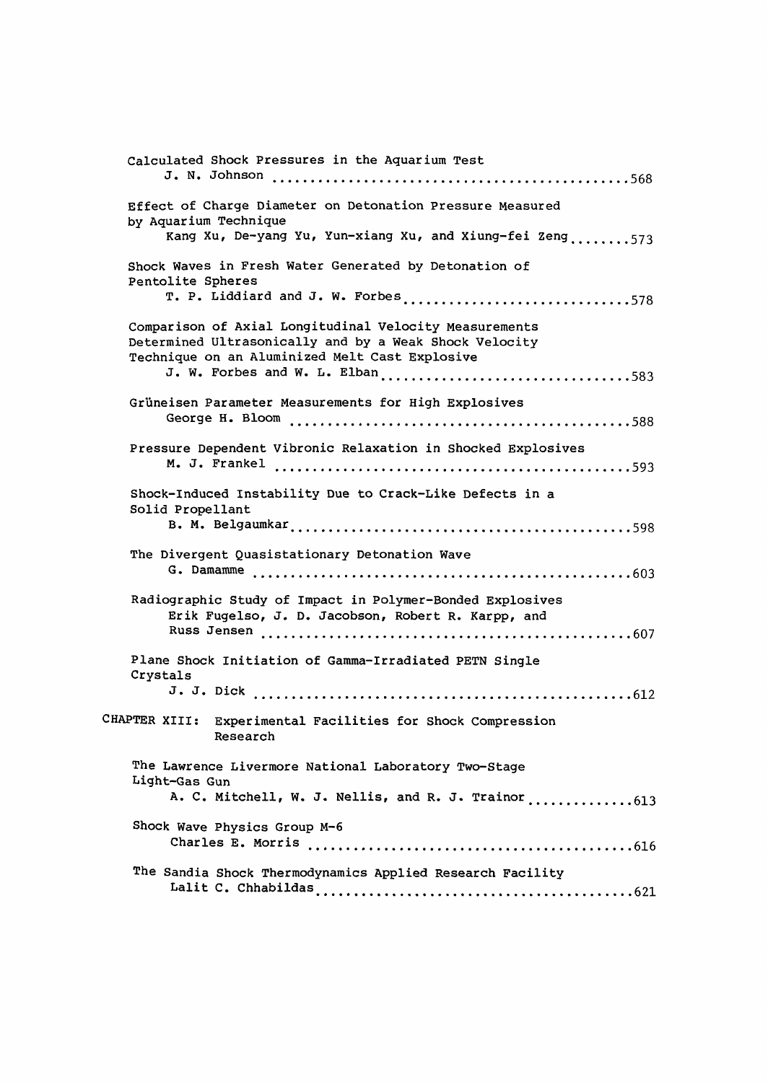| Calculated Shock Pressures in the Aquarium Test                                                                                                                    |
|--------------------------------------------------------------------------------------------------------------------------------------------------------------------|
|                                                                                                                                                                    |
| Effect of Charge Diameter on Detonation Pressure Measured<br>by Aquarium Technique                                                                                 |
| Kang Xu, De-yang Yu, Yun-xiang Xu, and Xiung-fei Zeng573                                                                                                           |
| Shock Waves in Fresh Water Generated by Detonation of<br>Pentolite Spheres                                                                                         |
| T. P. Liddiard and J. W. Forbes578                                                                                                                                 |
| Comparison of Axial Longitudinal Velocity Measurements<br>Determined Ultrasonically and by a Weak Shock Velocity<br>Technique on an Aluminized Melt Cast Explosive |
| J. W. Forbes and W. L. Elban583                                                                                                                                    |
| Grüneisen Parameter Measurements for High Explosives                                                                                                               |
|                                                                                                                                                                    |
| Pressure Dependent Vibronic Relaxation in Shocked Explosives                                                                                                       |
|                                                                                                                                                                    |
| Shock-Induced Instability Due to Crack-Like Defects in a<br>Solid Propellant                                                                                       |
| The Divergent Quasistationary Detonation Wave                                                                                                                      |
|                                                                                                                                                                    |
| Radiographic Study of Impact in Polymer-Bonded Explosives<br>Erik Fugelso, J. D. Jacobson, Robert R. Karpp, and                                                    |
|                                                                                                                                                                    |
| Plane Shock Initiation of Gamma-Irradiated PETN Single<br>Crystals                                                                                                 |
|                                                                                                                                                                    |
| CHAPTER XIII: Experimental Facilities for Shock Compression<br>Research                                                                                            |
| The Lawrence Livermore National Laboratory Two-Stage                                                                                                               |
| Light-Gas Gun<br>A. C. Mitchell, W. J. Nellis, and R. J. Trainor613                                                                                                |
| Shock Wave Physics Group M-6                                                                                                                                       |
|                                                                                                                                                                    |
| The Sandia Shock Thermodynamics Applied Research Facility                                                                                                          |
|                                                                                                                                                                    |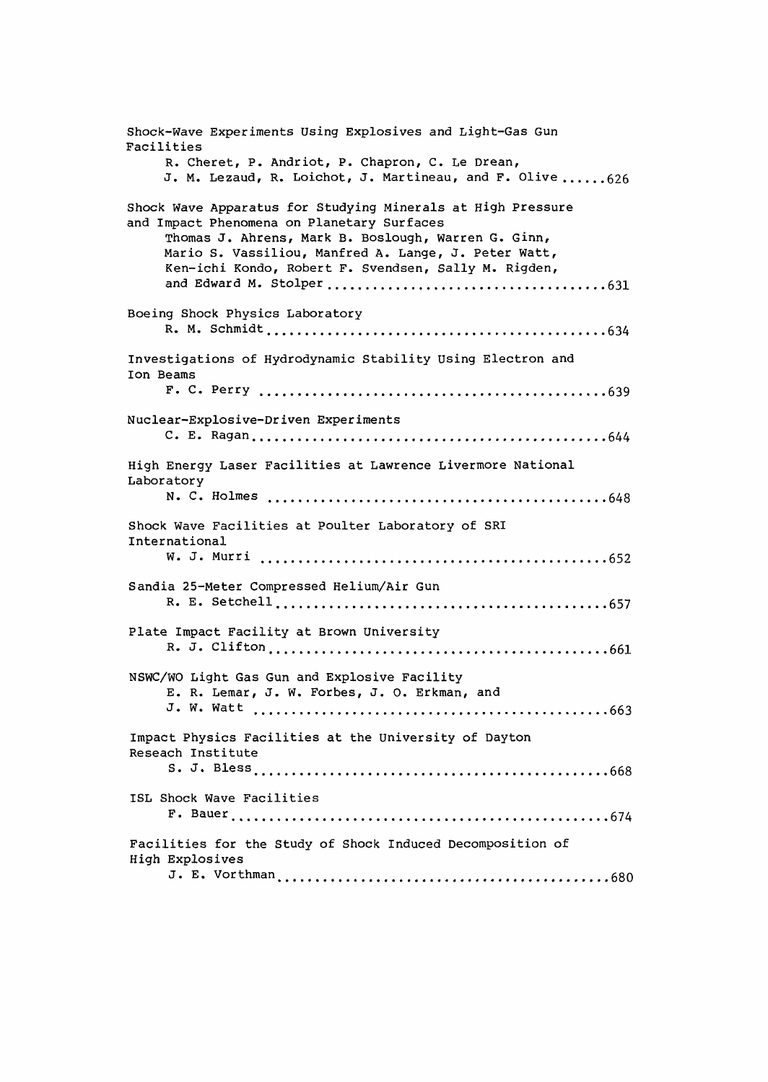Shock-Wave Experiments Using Explosives and Light-Gas Gun Facilities R. Cheret, P. Andriot, P. Chapron, C. Le Drean, J. M. Lezaud, R. Loichot, J. Martineau, and F. Olive ...... 626 Shock Wave Apparatus for Studying Minerals at High Pressure and Impact Phenomena on Planetary Surfaces Thomas J. Ahrens, Mark B. Boslough, Warren G. Ginn, Mario S. Vassiliou, Manfred A. Lange, J. Peter Watt, Ken-ichi Kondo, Robert F. Svendsen, Sally M. Rigden, and Edward M. Stolper 631 Boeing Shock Physics Laboratory R. M. Schmidt 634 Investigations of Hydrodynamic Stability Using Electron and Ion Beams F. C. Perry 639 Nuclear-Explosive-Driven Experiments C. E. Ragan 644 High Energy Laser Facilities at Lawrence Livermore National Laboratory N. C. Holmes 648 Shock Wave Facilities at Poulter Laboratory of SRI International W. J. Murri 652 Sandia 25-Meter Compressed Helium/Air Gun R. E. Setchell 657 Plate Impact Facility at Brown University R. J. Clifton 661 NSWC/WO Light Gas Gun and Explosive Facility E. R. Lemar, J. W. Forbes, J. O. Erkman, and J. W. Watt 663 Impact Physics Facilities at the University of Dayton Reseach Institute S. J. Bless 668 ISL Shock Wave Facilities F. Bauer 674 Facilities for the Study of Shock Induced Decomposition of High Explosives J. E. Vorthman 680